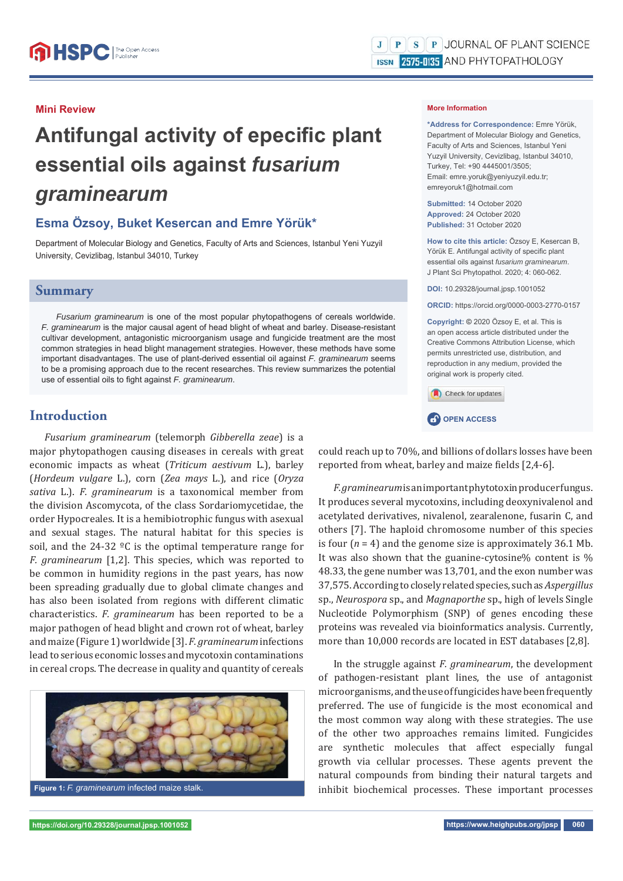#### **Mini Review**

# **Antifungal activity of epecific plant essential oils against** *fusarium graminearum*

## **Esma Özsoy, Buket Kesercan and Emre Yörük\***

Department of Molecular Biology and Genetics, Faculty of Arts and Sciences, Istanbul Yeni Yuzyil University, Cevizlibag, Istanbul 34010, Turkey

### **Summary**

*Fusarium graminearum* is one of the most popular phytopathogens of cereals worldwide. *F. graminearum* is the major causal agent of head blight of wheat and barley. Disease-resistant cultivar development, antagonistic microorganism usage and fungicide treatment are the most common strategies in head blight management strategies. However, these methods have some important disadvantages. The use of plant-derived essential oil against *F. graminearum* seems to be a promising approach due to the recent researches. This review summarizes the potential use of essential oils to fight against *F. graminearum*.

## **Introduction**

*Fusarium graminearum* (telemorph *Gibberella zeae*) is a major phytopathogen causing diseases in cereals with great economic impacts as wheat (*Triticum aestivum* L.), barley (*Hordeum vulgare* L.), corn (*Zea mays* L.), and rice (*Oryza sativa* L.). *F. graminearum* is a taxonomical member from the division Ascomycota, of the class Sordariomycetidae, the order Hypocreales. It is a hemibiotrophic fungus with asexual and sexual stages. The natural habitat for this species is soil, and the 24-32 ºC is the optimal temperature range for *F. graminearum* [1,2]. This species, which was reported to be common in humidity regions in the past years, has now been spreading gradually due to global climate changes and has also been isolated from regions with different climatic characteristics. *F. graminearum* has been reported to be a major pathogen of head blight and crown rot of wheat, barley and maize (Figure 1) worldwide [3]. *F. graminearum* infections lead to serious economic losses and mycotoxin contaminations in cereal crops. The decrease in quality and quantity of cereals



#### **More Information**

**\*Address for Correspondence:** Emre Yörük, Department of Molecular Biology and Genetics, Faculty of Arts and Sciences, Istanbul Yeni Yuzyil University, Cevizlibag, Istanbul 34010, Turkey, Tel: +90 4445001/3505; Email: emre.yoruk@yeniyuzyil.edu.tr; emreyoruk1@hotmail.com

**Submitted:** 14 October 2020 **Approved:** 24 October 2020 **Published:** 31 October 2020

**How to cite this article:** Özsoy E, Kesercan B, Yörük E. Antifungal activity of specific plant essential oils against *fusarium graminearum*. J Plant Sci Phytopathol. 2020; 4: 060-062.

**DOI:** 10.29328/journal.jpsp.1001052

**ORCID:** https://orcid.org/0000-0003-2770-0157

**Copyright: ©** 2020 Özsoy E, et al. This is an open access article distributed under the Creative Commons Attribution License, which permits unrestricted use, distribution, and reproduction in any medium, provided the original work is properly cited.

Check for updates



could reach up to 70%, and billions of dollars losses have been reported from wheat, barley and maize fields [2,4-6].

*F. graminearum* is an important phytotoxin producer fungus. It produces several mycotoxins, including deoxynivalenol and acetylated derivatives, nivalenol, zearalenone, fusarin C, and others [7]. The haploid chromosome number of this species is four  $(n = 4)$  and the genome size is approximately 36.1 Mb. It was also shown that the guanine-cytosine% content is % 48.33, the gene number was 13,701, and the exon number was 37,575. According to closely related species, such as *Aspergillus* sp., *Neurospora* sp., and *Magnaporthe* sp., high of levels Single Nucleotide Polymorphism (SNP) of genes encoding these proteins was revealed via bioinformatics analysis. Currently, more than 10,000 records are located in EST databases [2,8].

In the struggle against *F. graminearum*, the development of pathogen-resistant plant lines, the use of antagonist microorganisms, and the use of fungicides have been frequently preferred. The use of fungicide is the most economical and the most common way along with these strategies. The use of the other two approaches remains limited. Fungicides are synthetic molecules that affect especially fungal growth via cellular processes. These agents prevent the natural compounds from binding their natural targets and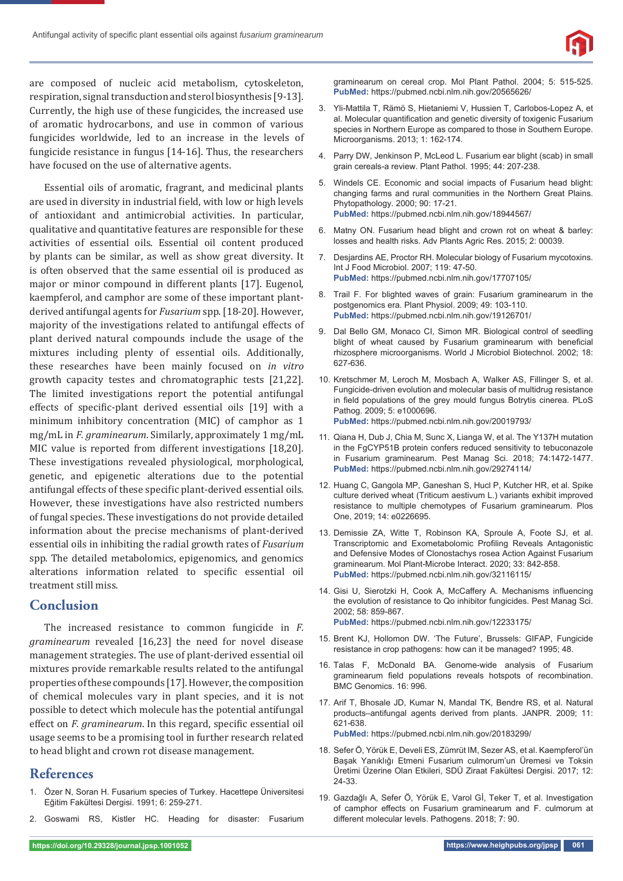

are composed of nucleic acid metabolism, cytoskeleton, respiration, signal transduction and sterol biosynthesis [9-13]. Currently, the high use of these fungicides, the increased use of aromatic hydrocarbons, and use in common of various fungicides worldwide, led to an increase in the levels of fungicide resistance in fungus [14-16]. Thus, the researchers have focused on the use of alternative agents.

Essential oils of aromatic, fragrant, and medicinal plants are used in diversity in industrial field, with low or high levels of antioxidant and antimicrobial activities. In particular, qualitative and quantitative features are responsible for these activities of essential oils. Essential oil content produced by plants can be similar, as well as show great diversity. It is often observed that the same essential oil is produced as major or minor compound in different plants [17]. Eugenol, kaempferol, and camphor are some of these important plantderived antifungal agents for *Fusarium* spp. [18-20]. However, majority of the investigations related to antifungal effects of plant derived natural compounds include the usage of the mixtures including plenty of essential oils. Additionally, these researches have been mainly focused on *in vitro*  growth capacity testes and chromatographic tests [21,22]. The limited investigations report the potential antifungal effects of specific-plant derived essential oils [19] with a minimum inhibitory concentration (MIC) of camphor as 1 mg/mL in *F. graminearum*. Similarly, approximately 1 mg/mL MIC value is reported from different investigations [18,20]. These investigations revealed physiological, morphological, genetic, and epigenetic alterations due to the potential antifungal effects of these specific plant-derived essential oils. However, these investigations have also restricted numbers of fungal species. These investigations do not provide detailed information about the precise mechanisms of plant-derived essential oils in inhibiting the radial growth rates of *Fusarium* spp. The detailed metabolomics, epigenomics, and genomics alterations information related to specific essential oil treatment still miss.

## **Conclusion**

The increased resistance to common fungicide in *F. graminearum* revealed [16,23] the need for novel disease management strategies. The use of plant-derived essential oil mixtures provide remarkable results related to the antifungal properties of these compounds [17]. However, the composition of chemical molecules vary in plant species, and it is not possible to detect which molecule has the potential antifungal effect on *F. graminearum*. In this regard, specific essential oil usage seems to be a promising tool in further research related to head blight and crown rot disease management.

## **References**

- 1. Özer N, Soran H. Fusarium species of Turkey. Hacettepe Üniversitesi Eğitim Fakültesi Dergisi. 1991; 6: 259-271.
- 2. Goswami RS, Kistler HC. Heading for disaster: Fusarium

graminearum on cereal crop. Mol Plant Pathol. 2004; 5: 515-525. **PubMed:** https://pubmed.ncbi.nlm.nih.gov/20565626/

- 3. Yli-Mattila T, Rämö S, Hietaniemi V, Hussien T, Carlobos-Lopez A, et al. Molecular quantification and genetic diversity of toxigenic Fusarium species in Northern Europe as compared to those in Southern Europe. Microorganisms. 2013; 1: 162-174.
- 4. Parry DW, Jenkinson P, McLeod L. Fusarium ear blight (scab) in small grain cereals-a review. Plant Pathol. 1995; 44: 207-238.
- 5. Windels CE. Economic and social impacts of Fusarium head blight: changing farms and rural communities in the Northern Great Plains. Phytopathology. 2000; 90: 17-21. **PubMed:** https://pubmed.ncbi.nlm.nih.gov/18944567/
- 6. Matny ON. Fusarium head blight and crown rot on wheat & barley: losses and health risks. Adv Plants Agric Res. 2015; 2: 00039.
- 7. Desjardins AE, Proctor RH. Molecular biology of Fusarium mycotoxins. Int J Food Microbiol. 2007; 119: 47-50. **PubMed:** https://pubmed.ncbi.nlm.nih.gov/17707105/
- 8. Trail F. For blighted waves of grain: Fusarium graminearum in the postgenomics era. Plant Physiol. 2009; 49: 103-110. **PubMed:** https://pubmed.ncbi.nlm.nih.gov/19126701/
- 9. Dal Bello GM, Monaco CI, Simon MR. Biological control of seedling blight of wheat caused by Fusarium graminearum with beneficial rhizosphere microorganisms. World J Microbiol Biotechnol. 2002; 18: 627-636.
- 10. Kretschmer M, Leroch M, Mosbach A, Walker AS, Fillinger S, et al. Fungicide-driven evolution and molecular basis of multidrug resistance in field populations of the grey mould fungus Botrytis cinerea. PLoS Pathog. 2009; 5: e1000696. **PubMed:** https://pubmed.ncbi.nlm.nih.gov/20019793/
- 
- 11. Qiana H, Dub J, Chia M, Sunc X, Lianga W, et al. The Y137H mutation in the FgCYP51B protein confers reduced sensitivity to tebuconazole in Fusarium graminearum. Pest Manag Sci. 2018; 74:1472-1477. **PubMed:** https://pubmed.ncbi.nlm.nih.gov/29274114/
- 12. Huang C, Gangola MP, Ganeshan S, Hucl P, Kutcher HR, et al. Spike culture derived wheat (Triticum aestivum L.) variants exhibit improved resistance to multiple chemotypes of Fusarium graminearum. Plos One, 2019; 14: e0226695.
- 13. Demissie ZA, Witte T, Robinson KA, Sproule A, Foote SJ, et al. Transcriptomic and Exometabolomic Profiling Reveals Antagonistic and Defensive Modes of Clonostachys rosea Action Against Fusarium graminearum. Mol Plant-Microbe Interact. 2020; 33: 842-858. **PubMed:** https://pubmed.ncbi.nlm.nih.gov/32116115/
- 14. Gisi U, Sierotzki H, Cook A, McCaffery A. Mechanisms influencing the evolution of resistance to Qo inhibitor fungicides. Pest Manag Sci. 2002; 58: 859-867. **PubMed:** https://pubmed.ncbi.nlm.nih.gov/12233175/
- 15. Brent KJ, Hollomon DW. 'The Future', Brussels: GIFAP, Fungicide resistance in crop pathogens: how can it be managed? 1995; 48.
- 16. Talas F, McDonald BA. Genome-wide analysis of Fusarium graminearum field populations reveals hotspots of recombination. BMC Genomics. 16: 996.
- 17. Arif T, Bhosale JD, Kumar N, Mandal TK, Bendre RS, et al. Natural products–antifungal agents derived from plants. JANPR. 2009; 11: 621-638.
	- **PubMed:** https://pubmed.ncbi.nlm.nih.gov/20183299/
- 18. Sefer Ö, Yörük E, Develi ES, Zümrüt IM, Sezer AS, et al. Kaempferol'ün Başak Yanıklığı Etmeni Fusarium culmorum'un Üremesi ve Toksin Üretimi Üzerine Olan Etkileri, SDÜ Ziraat Fakültesi Dergisi. 2017; 12: 24-33.
- 19. Gazdağlı A, Sefer Ö, Yörük E, Varol Gİ, Teker T, et al. Investigation of camphor effects on Fusarium graminearum and F. culmorum at different molecular levels. Pathogens. 2018; 7: 90.